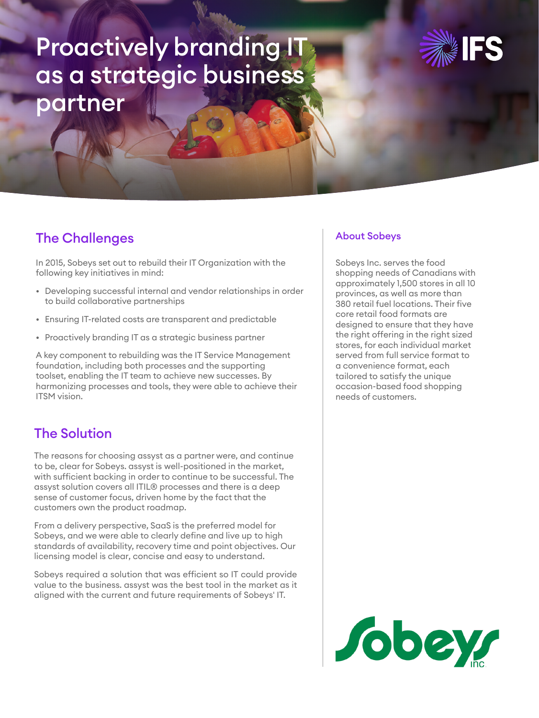# Proactively branding IT as a strategic business partner



### The Challenges

In 2015, Sobeys set out to rebuild their IT Organization with the following key initiatives in mind:

- Developing successful internal and vendor relationships in order to build collaborative partnerships
- Ensuring IT-related costs are transparent and predictable
- Proactively branding IT as a strategic business partner

A key component to rebuilding was the IT Service Management foundation, including both processes and the supporting toolset, enabling the IT team to achieve new successes. By harmonizing processes and tools, they were able to achieve their ITSM vision.

# The Solution

The reasons for choosing assyst as a partner were, and continue to be, clear for Sobeys. assyst is well-positioned in the market, with sufficient backing in order to continue to be successful. The assyst solution covers all ITIL® processes and there is a deep sense of customer focus, driven home by the fact that the customers own the product roadmap.

From a delivery perspective, SaaS is the preferred model for Sobeys, and we were able to clearly define and live up to high standards of availability, recovery time and point objectives. Our licensing model is clear, concise and easy to understand.

Sobeys required a solution that was efficient so IT could provide value to the business. assyst was the best tool in the market as it aligned with the current and future requirements of Sobeys' IT.

#### About Sobeys

Sobeys Inc. serves the food shopping needs of Canadians with approximately 1,500 stores in all 10 provinces, as well as more than 380 retail fuel locations. Their five core retail food formats are designed to ensure that they have the right offering in the right sized stores, for each individual market served from full service format to a convenience format, each tailored to satisfy the unique occasion-based food shopping needs of customers.